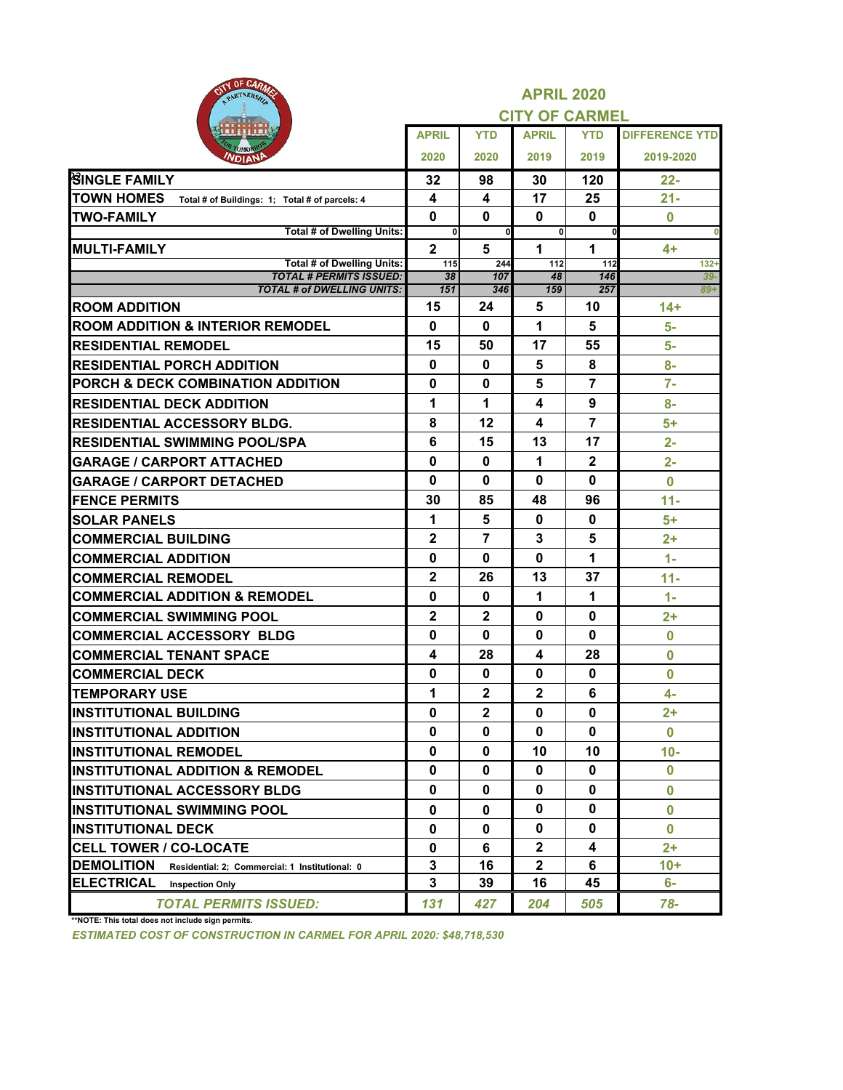| OF UARMS<br>GID<br>PARTNERSHIP                                      | <b>APRIL 2020</b> |                |                       |                |                       |  |  |  |
|---------------------------------------------------------------------|-------------------|----------------|-----------------------|----------------|-----------------------|--|--|--|
|                                                                     |                   |                | <b>CITY OF CARMEL</b> |                |                       |  |  |  |
|                                                                     | <b>APRIL</b>      | <b>YTD</b>     | <b>APRIL</b>          | <b>YTD</b>     | <b>DIFFERENCE YTD</b> |  |  |  |
| <b>TOMOP</b><br>VDIANP                                              | 2020              | 2020           | 2019                  | 2019           | 2019-2020             |  |  |  |
| <b>BINGLE FAMILY</b>                                                | 32                | 98             | 30                    | 120            | 22-                   |  |  |  |
| <b>TOWN HOMES</b><br>Total # of Buildings: 1; Total # of parcels: 4 | 4                 | 4              | 17                    | 25             | $21 -$                |  |  |  |
| <b>TWO-FAMILY</b>                                                   | $\mathbf 0$       | 0              | 0                     | 0              | $\bf{0}$              |  |  |  |
| <b>Total # of Dwelling Units:</b>                                   | $\mathbf{0}$      | $\mathbf 0$    | $\mathbf{0}$          | $\mathbf 0$    |                       |  |  |  |
| <b>MULTI-FAMILY</b>                                                 | $\overline{2}$    | 5              | 1                     | 1              | 4+                    |  |  |  |
| <b>Total # of Dwelling Units:</b><br><b>TOTAL # PERMITS ISSUED:</b> | 115<br>38         | 244<br>107     | 112<br>48             | 112<br>146     | $132+$<br>$39-$       |  |  |  |
| <b>TOTAL # of DWELLING UNITS:</b>                                   | 151               | 346            | 159                   | 257            | $89 +$                |  |  |  |
| <b>ROOM ADDITION</b>                                                | 15                | 24             | 5                     | 10             | $14+$                 |  |  |  |
| <b>ROOM ADDITION &amp; INTERIOR REMODEL</b>                         | $\mathbf{0}$      | 0              | 1                     | 5              | 5-                    |  |  |  |
| <b>RESIDENTIAL REMODEL</b>                                          | 15                | 50             | 17                    | 55             | $5-$                  |  |  |  |
| <b>RESIDENTIAL PORCH ADDITION</b>                                   | 0                 | $\mathbf 0$    | 5                     | 8              | 8-                    |  |  |  |
| PORCH & DECK COMBINATION ADDITION                                   | 0                 | 0              | 5                     | 7              | $7-$                  |  |  |  |
| <b>RESIDENTIAL DECK ADDITION</b>                                    | 1                 | 1              | 4                     | 9              | 8-                    |  |  |  |
| <b>IRESIDENTIAL ACCESSORY BLDG.</b>                                 | 8                 | 12             | 4                     | $\overline{7}$ | 5+                    |  |  |  |
| <b>RESIDENTIAL SWIMMING POOL/SPA</b>                                | 6                 | 15             | 13                    | 17             | $2 -$                 |  |  |  |
| <b>GARAGE / CARPORT ATTACHED</b>                                    | 0                 | 0              | 1                     | $\mathbf{2}$   | $2 -$                 |  |  |  |
| <b>GARAGE / CARPORT DETACHED</b>                                    | 0                 | 0              | 0                     | 0              | $\bf{0}$              |  |  |  |
| <b>FENCE PERMITS</b>                                                | 30                | 85             | 48                    | 96             | $11 -$                |  |  |  |
| <b>ISOLAR PANELS</b>                                                | 1                 | 5              | 0                     | 0              | 5+                    |  |  |  |
| <b>COMMERCIAL BUILDING</b>                                          | $\overline{2}$    | $\overline{7}$ | 3                     | 5              | $2+$                  |  |  |  |
| <b>COMMERCIAL ADDITION</b>                                          | 0                 | 0              | 0                     | 1              | $1 -$                 |  |  |  |
| <b>COMMERCIAL REMODEL</b>                                           | $\mathbf 2$       | 26             | 13                    | 37             | $11 -$                |  |  |  |
| <b>COMMERCIAL ADDITION &amp; REMODEL</b>                            | 0                 | $\mathbf 0$    | 1                     | 1              | $1 -$                 |  |  |  |
| <b>COMMERCIAL SWIMMING POOL</b>                                     | $\mathbf 2$       | $\mathbf{2}$   | 0                     | 0              | $2+$                  |  |  |  |
| <b>COMMERCIAL ACCESSORY BLDG</b>                                    | 0                 | 0              | 0                     | 0              | $\bf{0}$              |  |  |  |
| <b>COMMERCIAL TENANT SPACE</b>                                      | 4                 | 28             | 4                     | 28             | $\bf{0}$              |  |  |  |
| <b>COMMERCIAL DECK</b>                                              | 0                 | 0              | 0                     | 0              | $\bf{0}$              |  |  |  |
| <b>TEMPORARY USE</b>                                                | 1                 | $\overline{2}$ | $\overline{2}$        | 6              | $4-$                  |  |  |  |
| <b>INSTITUTIONAL BUILDING</b>                                       | 0                 | $\mathbf{2}$   | $\mathbf{0}$          | 0              | $2+$                  |  |  |  |
| <b>INSTITUTIONAL ADDITION</b>                                       | 0                 | 0              | 0                     | 0              | 0                     |  |  |  |
| <b>INSTITUTIONAL REMODEL</b>                                        | 0                 | 0              | 10                    | 10             | $10-$                 |  |  |  |
| <b>INSTITUTIONAL ADDITION &amp; REMODEL</b>                         | 0                 | 0              | $\mathbf{0}$          | 0              | $\bf{0}$              |  |  |  |
| <b>IINSTITUTIONAL ACCESSORY BLDG</b>                                | 0                 | 0              | 0                     | 0              | $\bf{0}$              |  |  |  |
| <b>INSTITUTIONAL SWIMMING POOL</b>                                  | 0                 | 0              | 0                     | 0              | $\bf{0}$              |  |  |  |
| <b>INSTITUTIONAL DECK</b>                                           | 0                 | 0              | $\mathbf{0}$          | 0              | $\bf{0}$              |  |  |  |
| <b>CELL TOWER / CO-LOCATE</b>                                       | 0                 | 6              | $\mathbf{2}$          | 4              | 2+                    |  |  |  |
| <b>DEMOLITION</b><br>Residential: 2: Commercial: 1 Institutional: 0 | 3                 | 16             | $\mathbf{2}$          | 6              | $10 +$                |  |  |  |
| <b>ELECTRICAL</b><br><b>Inspection Only</b>                         | 3                 | 39             | 16                    | 45             | 6-                    |  |  |  |
| <b>TOTAL PERMITS ISSUED:</b>                                        | 131               | 427            | 204                   | 505            | 78-                   |  |  |  |

**\*\*NOTE: This total does not include sign permits.**

*ESTIMATED COST OF CONSTRUCTION IN CARMEL FOR APRIL 2020: \$48,718,530*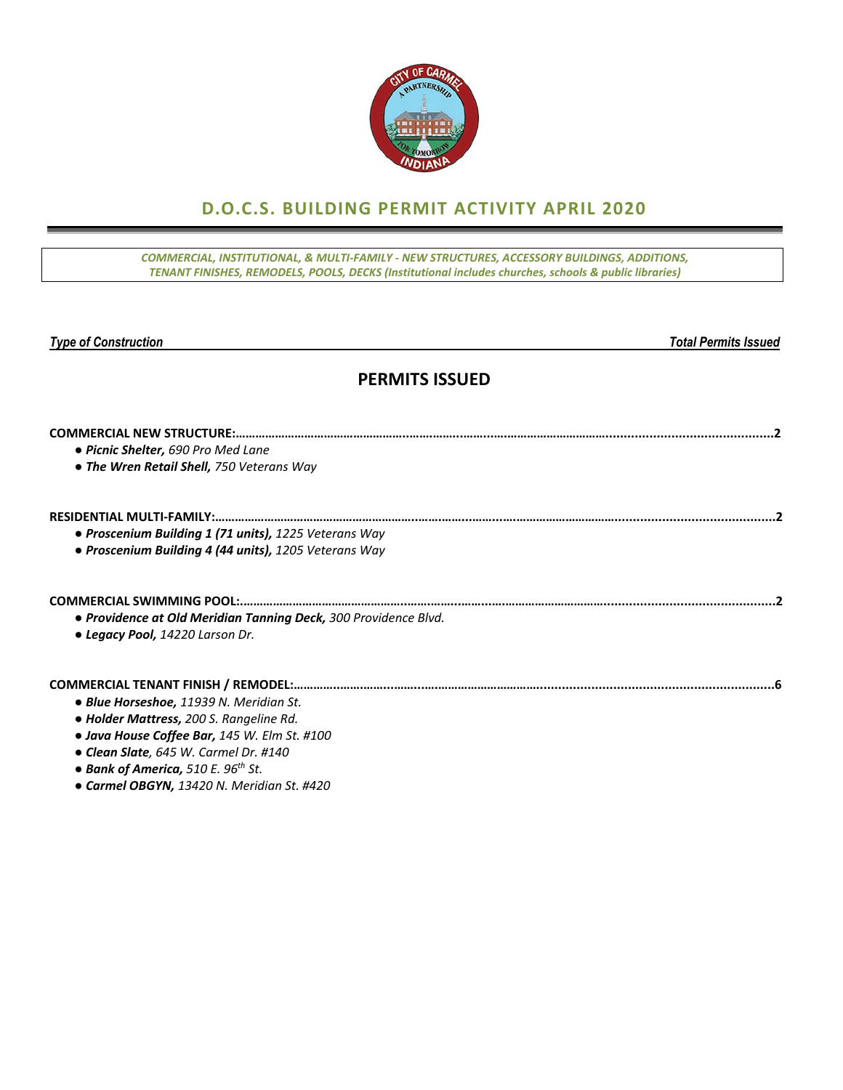

## **D.O.C.S. BUILDING PERMIT ACTIVITY APRIL 2020**

*COMMERCIAL, INSTITUTIONAL, & MULTI‐FAMILY ‐ NEW STRUCTURES, ACCESSORY BUILDINGS, ADDITIONS, TENANT FINISHES, REMODELS, POOLS, DECKS (Institutional includes churches, schools & public libraries)*

**Total Permits Issued** 

### **PERMITS ISSUED**

| • Picnic Shelter, 690 Pro Med Lane<br>• The Wren Retail Shell, 750 Veterans Way |  |
|---------------------------------------------------------------------------------|--|
|                                                                                 |  |
| • Proscenium Building 1 (71 units), 1225 Veterans Way                           |  |
| · Proscenium Building 4 (44 units), 1205 Veterans Way                           |  |
|                                                                                 |  |
| • Providence at Old Meridian Tanning Deck, 300 Providence Blvd.                 |  |
| • Legacy Pool, 14220 Larson Dr.                                                 |  |
|                                                                                 |  |
| • Blue Horseshoe, 11939 N. Meridian St.                                         |  |
| • Holder Mattress, 200 S. Rangeline Rd.                                         |  |
| • Java House Coffee Bar, 145 W. Elm St. #100                                    |  |
| • Clean Slate, 645 W. Carmel Dr. #140                                           |  |
| • Bank of America, 510 E. 96 <sup>th</sup> St.                                  |  |
| • Carmel OBGYN, 13420 N. Meridian St. #420                                      |  |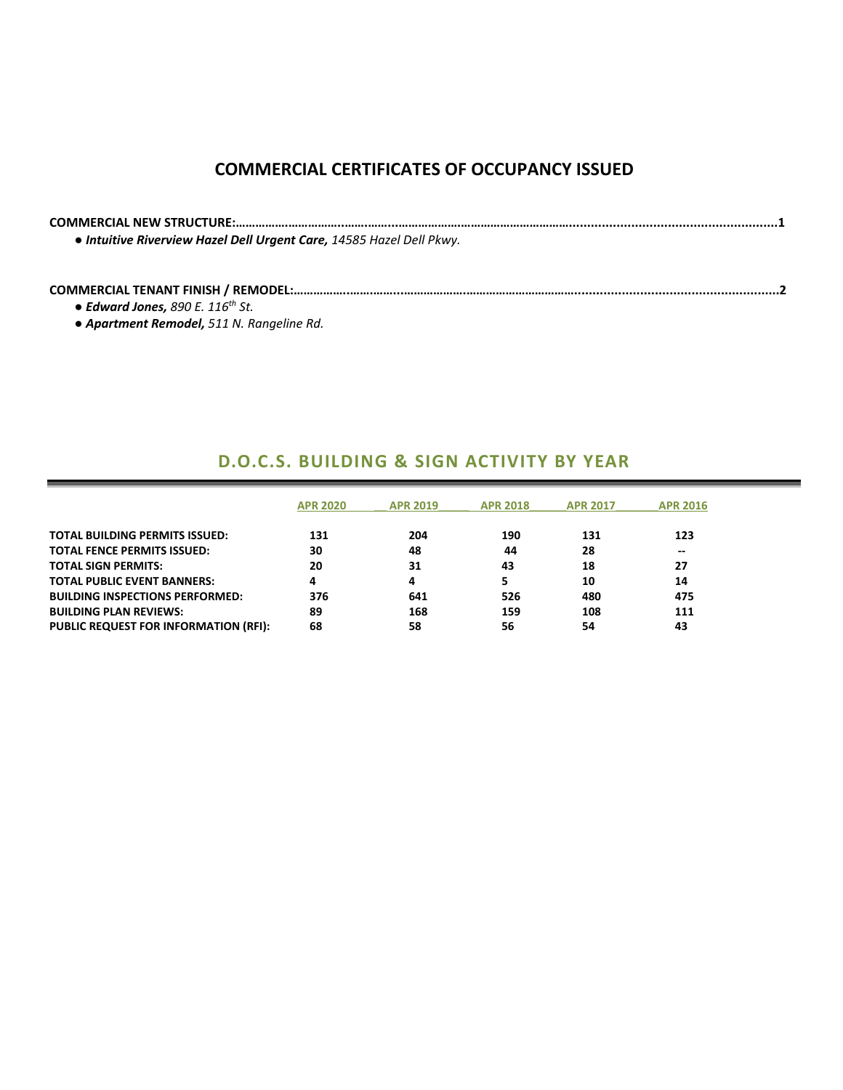## **COMMERCIAL CERTIFICATES OF OCCUPANCY ISSUED**

**COMMERCIAL NEW STRUCTURE:…………….……………..…….……...……………….…………………………….........................................................1** *● Intuitive Riverview Hazel Dell Urgent Care, 14585 Hazel Dell Pkwy.*

#### **COMMERCIAL TENANT FINISH / REMODEL:……………..…….……...……………….……………………………........................................................2**

*● Edward Jones, 890 E. 116th St.*

*● Apartment Remodel, 511 N. Rangeline Rd.*

### **D.O.C.S. BUILDING & SIGN ACTIVITY BY YEAR**

|                                              | <b>APR 2020</b> | <b>APR 2019</b> | <b>APR 2018</b> | <b>APR 2017</b> | <b>APR 2016</b> |
|----------------------------------------------|-----------------|-----------------|-----------------|-----------------|-----------------|
| <b>TOTAL BUILDING PERMITS ISSUED:</b>        | 131             | 204             | 190             | 131             | 123             |
| <b>TOTAL FENCE PERMITS ISSUED:</b>           | 30              | 48              | 44              | 28              | --              |
| <b>TOTAL SIGN PERMITS:</b>                   | 20              | 31              | 43              | 18              | 27              |
| <b>TOTAL PUBLIC EVENT BANNERS:</b>           | 4               | 4               |                 | 10              | 14              |
| <b>BUILDING INSPECTIONS PERFORMED:</b>       | 376             | 641             | 526             | 480             | 475             |
| <b>BUILDING PLAN REVIEWS:</b>                | 89              | 168             | 159             | 108             | 111             |
| <b>PUBLIC REQUEST FOR INFORMATION (RFI):</b> | 68              | 58              | 56              | 54              | 43              |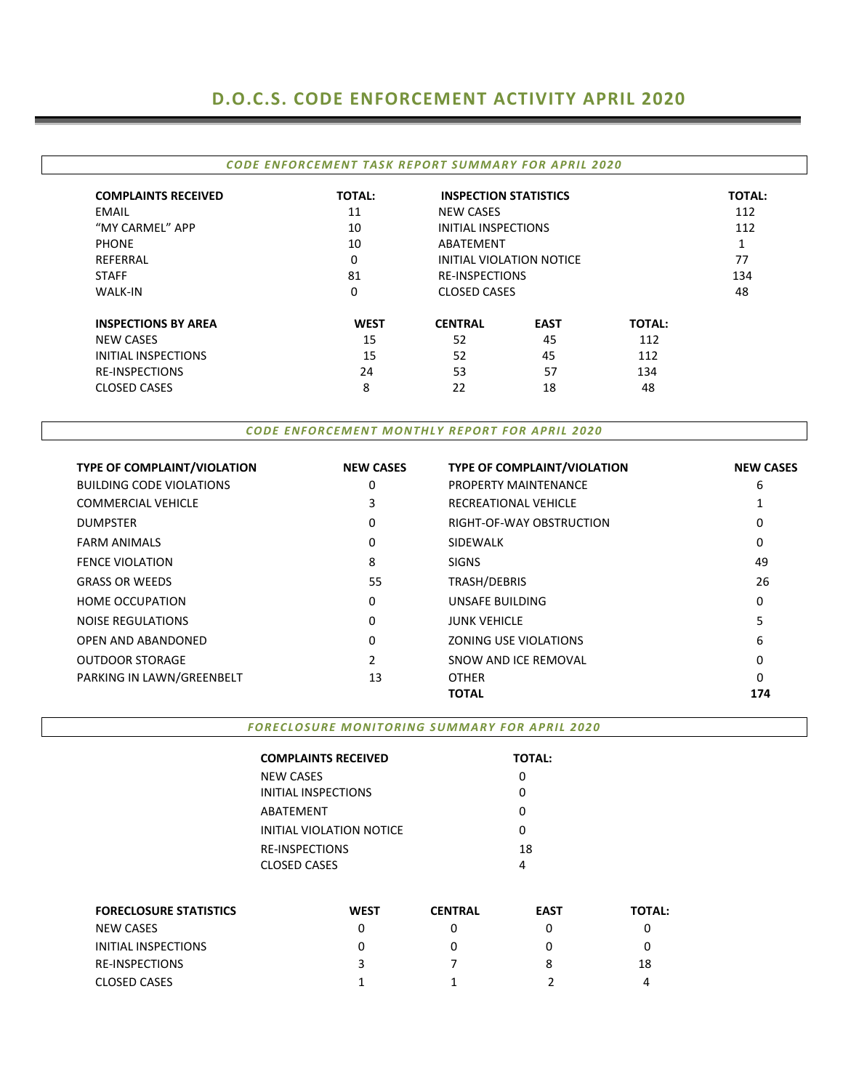# **D.O.C.S. CODE ENFORCEMENT ACTIVITY APRIL 2020**

| CODE ENFORCEMENT TASK REPORT SUMMARY FOR APRIL 2020 |  |
|-----------------------------------------------------|--|
|                                                     |  |

| <b>COMPLAINTS RECEIVED</b> | <b>TOTAL:</b> | <b>INSPECTION STATISTICS</b> |                          |               | <b>TOTAL:</b> |
|----------------------------|---------------|------------------------------|--------------------------|---------------|---------------|
| <b>EMAIL</b>               | 11            | <b>NEW CASES</b>             |                          |               | 112           |
| "MY CARMEL" APP            | 10            | <b>INITIAL INSPECTIONS</b>   |                          |               | 112           |
| <b>PHONE</b>               | 10            | ABATEMENT                    |                          |               |               |
| REFERRAL                   | 0             |                              | INITIAL VIOLATION NOTICE |               | 77            |
| <b>STAFF</b>               | 81            |                              | <b>RE-INSPECTIONS</b>    |               | 134           |
| <b>WALK-IN</b>             | 0             |                              | <b>CLOSED CASES</b>      |               | 48            |
| <b>INSPECTIONS BY AREA</b> | <b>WEST</b>   | <b>CENTRAL</b>               | <b>EAST</b>              | <b>TOTAL:</b> |               |
| <b>NEW CASES</b>           | 15            | 52                           | 45                       | 112           |               |
| INITIAL INSPECTIONS        | 15            | 52                           | 45                       | 112           |               |
| <b>RE-INSPECTIONS</b>      | 24            | 53                           | 57                       | 134           |               |
| <b>CLOSED CASES</b>        | 8             | 22                           | 18                       | 48            |               |

*CODE ENFORCEMENT MONTHLY REPORT FOR APRIL 2020*

| <b>TYPE OF COMPLAINT/VIOLATION</b> | <b>NEW CASES</b> | <b>TYPE OF COMPLAINT/VIOLATION</b> | <b>NEW CASES</b> |
|------------------------------------|------------------|------------------------------------|------------------|
| <b>BUILDING CODE VIOLATIONS</b>    | 0                | PROPERTY MAINTENANCE               | 6                |
| <b>COMMERCIAL VEHICLE</b>          | 3                | RECREATIONAL VEHICLE               |                  |
| <b>DUMPSTER</b>                    | 0                | RIGHT-OF-WAY OBSTRUCTION           | 0                |
| <b>FARM ANIMALS</b>                | 0                | <b>SIDEWALK</b>                    | 0                |
| <b>FENCE VIOLATION</b>             | 8                | <b>SIGNS</b>                       | 49               |
| <b>GRASS OR WEEDS</b>              | 55               | TRASH/DEBRIS                       | 26               |
| <b>HOME OCCUPATION</b>             | 0                | UNSAFE BUILDING                    | 0                |
| <b>NOISE REGULATIONS</b>           | 0                | <b>JUNK VEHICLE</b>                | 5                |
| OPEN AND ABANDONED                 | 0                | <b>ZONING USE VIOLATIONS</b>       | 6                |
| <b>OUTDOOR STORAGE</b>             | 2                | SNOW AND ICE REMOVAL               | 0                |
| PARKING IN LAWN/GREENBELT          | 13               | <b>OTHER</b>                       | 0                |
|                                    |                  | <b>TOTAL</b>                       | 174              |

*FORECLOSURE MONITORING SUMMARY FOR APRIL 2020*

| <b>COMPLAINTS RECEIVED</b>      | <b>TOTAL:</b> |
|---------------------------------|---------------|
| <b>NEW CASES</b>                |               |
| INITIAL INSPECTIONS             | n             |
| ABATEMENT                       |               |
| <b>INITIAL VIOLATION NOTICE</b> |               |
| <b>RE-INSPECTIONS</b>           | 18            |
| <b>CLOSED CASES</b>             | 4             |
|                                 |               |

| <b>FORECLOSURE STATISTICS</b> | <b>WEST</b> | <b>CENTRAL</b> | <b>EAST</b> | <b>TOTAL:</b> |
|-------------------------------|-------------|----------------|-------------|---------------|
| NEW CASES                     |             |                |             |               |
| INITIAL INSPECTIONS           |             |                |             |               |
| <b>RE-INSPECTIONS</b>         |             |                |             | 18            |
| <b>CLOSED CASES</b>           |             |                |             |               |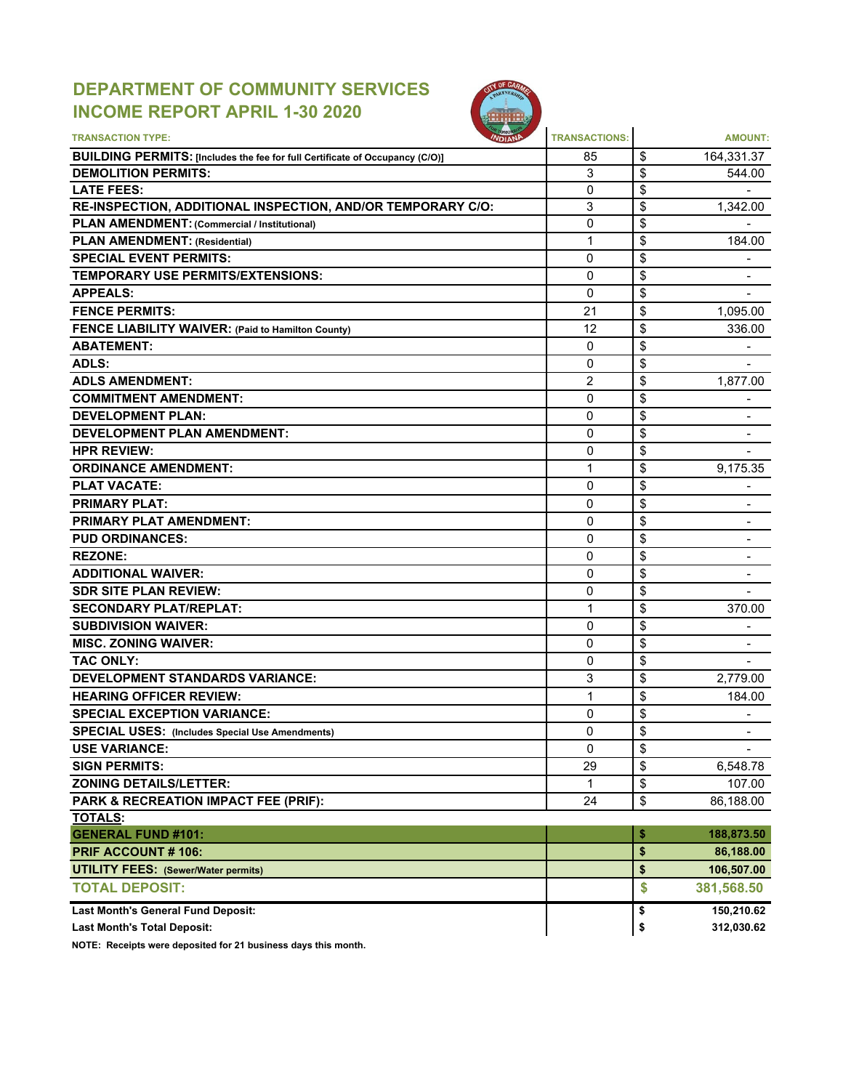# **DEPARTMENT OF COMMUNITY SERVICES INCOME REPORT APRIL 1-30 2020**



| <b>TRANSACTION TYPE:</b>                                                                                          | <b>TRANSACTIONS:</b> |          | <b>AMOUNT:</b>           |
|-------------------------------------------------------------------------------------------------------------------|----------------------|----------|--------------------------|
|                                                                                                                   | 85                   |          |                          |
| <b>BUILDING PERMITS: [Includes the fee for full Certificate of Occupancy (C/O)]</b><br><b>DEMOLITION PERMITS:</b> | 3                    | \$<br>\$ | 164,331.37               |
| <b>LATE FEES:</b>                                                                                                 | $\mathbf{0}$         | \$       | 544.00                   |
| RE-INSPECTION, ADDITIONAL INSPECTION, AND/OR TEMPORARY C/O:                                                       | 3                    | \$       | 1,342.00                 |
| PLAN AMENDMENT: (Commercial / Institutional)                                                                      | $\overline{0}$       | \$       |                          |
|                                                                                                                   | 1                    | \$       | 184.00                   |
| <b>PLAN AMENDMENT: (Residential)</b><br><b>SPECIAL EVENT PERMITS:</b>                                             | 0                    | \$       |                          |
| <b>TEMPORARY USE PERMITS/EXTENSIONS:</b>                                                                          | 0                    | \$       | $\blacksquare$           |
| <b>APPEALS:</b>                                                                                                   | 0                    | \$       |                          |
| <b>FENCE PERMITS:</b>                                                                                             | 21                   | \$       | 1,095.00                 |
|                                                                                                                   | 12                   | \$       | 336.00                   |
| <b>FENCE LIABILITY WAIVER: (Paid to Hamilton County)</b><br><b>ABATEMENT:</b>                                     | 0                    | \$       |                          |
| ADLS:                                                                                                             | 0                    | \$       |                          |
|                                                                                                                   |                      |          |                          |
| <b>ADLS AMENDMENT:</b>                                                                                            | 2                    | \$       | 1,877.00                 |
| <b>COMMITMENT AMENDMENT:</b>                                                                                      | 0                    | \$       |                          |
| <b>DEVELOPMENT PLAN:</b>                                                                                          | 0                    | \$       | $\overline{\phantom{a}}$ |
| <b>DEVELOPMENT PLAN AMENDMENT:</b>                                                                                | 0                    | \$       | $\blacksquare$           |
| <b>HPR REVIEW:</b>                                                                                                | 0                    | \$       |                          |
| <b>ORDINANCE AMENDMENT:</b>                                                                                       | 1                    | \$       | 9,175.35                 |
| <b>PLAT VACATE:</b>                                                                                               | 0                    | \$       |                          |
| <b>PRIMARY PLAT:</b>                                                                                              | 0                    | \$       |                          |
| <b>PRIMARY PLAT AMENDMENT:</b>                                                                                    | $\mathbf{0}$         | \$       |                          |
| <b>PUD ORDINANCES:</b>                                                                                            | 0                    | \$       |                          |
| <b>REZONE:</b>                                                                                                    | 0                    | \$       | $\blacksquare$           |
| <b>ADDITIONAL WAIVER:</b>                                                                                         | 0                    | \$       | $\blacksquare$           |
| <b>SDR SITE PLAN REVIEW:</b>                                                                                      | 0                    | \$       |                          |
| <b>SECONDARY PLAT/REPLAT:</b>                                                                                     | 1                    | \$       | 370.00                   |
| <b>SUBDIVISION WAIVER:</b>                                                                                        | 0                    | \$       |                          |
| <b>MISC. ZONING WAIVER:</b>                                                                                       | 0                    | \$       |                          |
| <b>TAC ONLY:</b>                                                                                                  | $\mathbf{0}$         | \$       |                          |
| <b>DEVELOPMENT STANDARDS VARIANCE:</b>                                                                            | 3                    | \$       | 2,779.00                 |
| <b>HEARING OFFICER REVIEW:</b>                                                                                    | 1                    | \$       | 184.00                   |
| <b>SPECIAL EXCEPTION VARIANCE:</b>                                                                                | 0                    | \$       |                          |
| <b>SPECIAL USES: (Includes Special Use Amendments)</b>                                                            | 0                    | \$       | $\blacksquare$           |
| <b>USE VARIANCE:</b>                                                                                              | 0                    | \$       |                          |
| <b>SIGN PERMITS:</b>                                                                                              | 29                   | \$       | 6,548.78                 |
| <b>ZONING DETAILS/LETTER:</b>                                                                                     | 1                    | \$       | 107.00                   |
| PARK & RECREATION IMPACT FEE (PRIF):                                                                              | 24                   | \$       | 86,188.00                |
| <b>TOTALS:</b>                                                                                                    |                      |          |                          |
| <b>GENERAL FUND #101:</b>                                                                                         |                      | \$       | 188,873.50               |
| <b>PRIF ACCOUNT #106:</b>                                                                                         |                      | \$       | 86,188.00                |
| <b>UTILITY FEES: (Sewer/Water permits)</b>                                                                        |                      | \$       | 106,507.00               |
| <b>TOTAL DEPOSIT:</b>                                                                                             |                      | \$       | 381,568.50               |
| Last Month's General Fund Deposit:                                                                                |                      | \$       | 150,210.62               |
| <b>Last Month's Total Deposit:</b>                                                                                |                      | \$       | 312,030.62               |

**NOTE: Receipts were deposited for 21 business days this month.**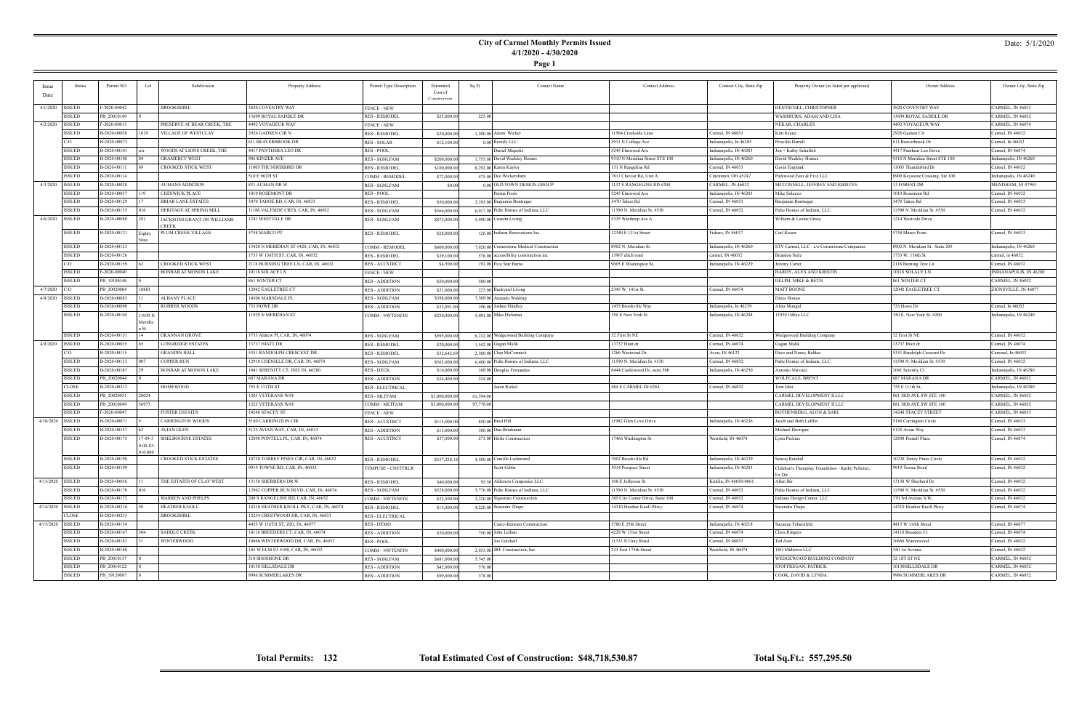### **City of Carmel Monthly Permits Issued 4/1/2020 - 4/30/2020**

**Page 1**

#### Date: 5/1/2020

| Issue              | Status        | Permit NO    | Lot               | Subdivision                 | Property Address                        | Permit Type Description              | Estimated      | Sq Ft     | <b>Contact Name</b>                       | <b>Contact Address</b>           | Contact City, State Zip | Property Owner (as listed per applicant)           | Owner Address                   | Owner City, State Zip                |
|--------------------|---------------|--------------|-------------------|-----------------------------|-----------------------------------------|--------------------------------------|----------------|-----------|-------------------------------------------|----------------------------------|-------------------------|----------------------------------------------------|---------------------------------|--------------------------------------|
| Date               |               |              |                   |                             |                                         |                                      | Cost of        |           |                                           |                                  |                         |                                                    |                                 |                                      |
|                    |               |              |                   |                             |                                         |                                      |                |           |                                           |                                  |                         |                                                    |                                 |                                      |
| 4/1/2020   ISSUED  |               | F-2020-00042 |                   | <b>BROOKSHIRE</b>           | 3820 COVENTRY WAY                       | <b>FENCE - NEW</b>                   |                |           |                                           |                                  |                         | HENTSCHEL, CHRISTOPHER                             | 3820 COVENTRY WAY               | CARMEL, IN 46033                     |
|                    | <b>ISSUED</b> | PB 20010149  |                   |                             | 13699 ROYAL SADDLE DR                   | <b>RES - REMODEL</b>                 | \$25,000.00    | 225.00    |                                           |                                  |                         | WASHBURN, ADAM AND LISA                            | 13699 ROYAL SADDLE DR           | CARMEL, IN 46032                     |
| 4/2/2020   ISSUED  |               | F-2020-00013 |                   | PRESERVE AT BEAR CREEK, THE | 4492 VOYAGEUR WAY                       | <b>FENCE - NEW</b>                   |                |           |                                           |                                  |                         | NEKAR, CHARLES                                     | 4492 VOYAGEUR WAY               | CARMEL, IN 46074                     |
|                    | <b>ISSUED</b> | B-2020-00058 | 1019              | VILLAGE OF WESTCLAY         | 2926 GADSEN CIR N                       | <b>RES - REMODEL</b>                 | \$20,000.00    |           | 1,200.00 Adam Wicker                      | 11564 Creekside Lane             | Carmel, IN 46033        | Kim Kranz                                          | 2926 Gadsen Cir                 | Carmel, IN 46032                     |
|                    | C/O           | B-2020-00073 |                   |                             | <b>611 BEAVERBROOK DR</b>               | <b>RES - SOLAR</b>                   | \$12,100.00    |           | 0.00 Rectify LLC                          | 3911 N College Ave               | Indianapolis, In 46205  | riscilla Hamill                                    | 611 Beaverbrook Dr              | Carmel, In 46032                     |
|                    | <b>ISSUED</b> | B-2020-00101 |                   | WOODS AT LIONS CREEK, THE   | 4417 PANTHERA LEO DR                    | RES - POOL                           |                |           | Daniel Majestic                           | 5245 Elmwood Ave                 | Indianapolis, IN 46203  | Jon + Kathy Schalliol                              | 4417 Panthear Leo Drive         | Carmel, IN 46074                     |
|                    | <b>ISSUED</b> | B-2020-00108 |                   | <b>GRAMERCY WEST</b>        | 986 KINZER AVE                          | <b>RES - SGNLFAM</b>                 | \$200,000.00   |           | 1,755.00 David Weekley Homes              | 9310 N Meridian Street STE 100   | Indianapolis, IN 46260  | David Weekley Homes                                | 9310 N Meridian Street STE 100  | Indianapolis, IN 46260               |
|                    | <b>ISSUED</b> | B-2020-00111 |                   | <b>CROOKED STICK WEST</b>   | 11005 THUNDERBIRD DR                    | <b>RES - REMODEL</b>                 | \$100,000.00   |           | 8,292.00 Karen Kaylor                     | 131 N Rangeline Rd               | Carmel, IN 46033        | Gavin England                                      | 11005 Thunderbird Dr            | Carmel, IN 46032                     |
|                    | <b>ISSUED</b> | B-2020-00114 |                   |                             | 510 E 96TH ST                           | COMM - REMODEI                       | \$72,000.00    |           | 475.00 Dee Wickersham                     | 7811 Cheviot Rd, Unit A          | Cincinnati, OH 45247    | Parkwood Four & Five LLC                           | 8900 Keystone Crossing, Ste 100 | Indianapolis, IN 46240               |
| 4/3/2020           | <b>ISSUED</b> | B-2020-00020 |                   | <b>AUMANS ADDITION</b>      | 831 AUMAN DR W                          | <b>RES - SGNLFAM</b>                 | \$0.00         |           | 0.00 OLD TOWN DESIGN GROUP                | 1132 S RANGELINE RD #200         | CARMEL, IN 46032        | MCCONNELL, JEFFREY AND KRISTEN                     | 13 FOREST DR                    | MENDHAM, NJ 07945                    |
|                    | <b>ISSUED</b> | B-2020-00037 | 119               | <b>CHESWICK PLACE</b>       | 1010 ROSEMONT DR                        | RES - POOL                           |                |           | Perma Pools                               | 5245 Elmwood Ave                 | Indianapolis, IN 46203  | Mike Solazzo                                       | 1010 Rosemont Rd                | Carmel, IN 46032                     |
|                    | <b>ISSUED</b> | B-2020-00129 |                   | <b>BRIAR LANE ESTATES</b>   | 3470 TAHOE RD, CAR, IN, 46033           | <b>RES - REMODEL</b>                 | \$50,000.00    |           | 3.193.00 Benjamin Bontrager               | 3470 Tahoe Rd                    | Carmel, IN 46033        | Benjamin Bontrager                                 | 3470 Tahoe Rd                   | Carmel, IN 46033                     |
|                    | <b>ISSUED</b> | B-2020-00135 |                   | HERITAGE AT SPRING MILL     | 11186 VALESIDE CRES, CAR, IN, 46032     | <b>RES - SGNLFAM</b>                 | \$566,000.00   |           | 6,017.00 Pulte Homes of Indiana, LLC      | 11590 N. Meridian St. #530       | Carmel, IN 46032        | Pulte Homes of Indiana, LLC                        | 11590 N. Meridian St. #530      | Carmel, IN 46032                     |
| 4/6/2020   ISSUED  |               | B-2020-00080 | 281               | JACKSONS GRANT ON WILLIAMS  | 1241 WESTVALE DR                        | <b>RES - SGNLFAM</b>                 | \$875,000.00   |           | 5,490.00 Custom Living                    | 5335 Winthrop Ave A              |                         | William & Leslee Grace                             | 1214 Westvale Drive             |                                      |
|                    |               |              |                   | CREEK                       |                                         |                                      |                |           |                                           |                                  |                         |                                                    |                                 |                                      |
|                    | <b>ISSUED</b> | B-2020-00121 | Eighty            | <b>PLUM CREEK VILLAGE</b>   | 5758 MARCO PT                           | <b>RES - REMODEL</b>                 | \$28,000.00    |           | 126.00 Indiana Renovations Inc.           | 12340 E 131st Street             | Fishers, IN 46037       | Carl Kaiser                                        | 5758 Marco Point                | Carmel, IN 46033                     |
|                    | <b>ISSUED</b> | B-2020-00123 |                   |                             | 3420 N MERIDIAN ST #420, CAR, IN, 46032 | COMM - REMODEL                       | \$600,000.00   |           | 7,020.00 Cornerstone Medical Construction | 8902 N. Meridian St.             | Indianapolis, IN 46260  | STV Carmel, LLC c/o Cornerstone Companies          | 8902 N. Meridian St. Suite 205  | Indianapolis, IN 46260               |
|                    | <b>ISSUED</b> | B-2020-00126 |                   |                             | 1733 W 136TH ST, CAR, IN, 46032         |                                      |                |           |                                           | 13967 ditch road                 |                         |                                                    | 1733 W. 136th St.               |                                      |
|                    | C/O           | B-2020-00159 |                   | CROOKED STICK WEST          | 2118 BURNING TREE LN, CAR, IN, 46032    | <b>RES - REMODEL</b>                 | \$39,100.00    |           | 576.00 accessibility construction inc     | 9005 E Washington St,            | carmel, IN 46032        | Brandon Seitz                                      |                                 | carmel, in 46032<br>Carmel, IN 46032 |
|                    | <b>ISSUED</b> | F-2020-00040 |                   | BONBAR AT MONON LAKE        | 10118 SOLACE LN                         | <b>RES-ACCSTRCT</b>                  | \$4,500.00     |           | 192.00 Five Star Barns                    |                                  | Indianapolis, IN 46229  | Jeremy Carter<br>HARDY, ALEX AND KRISTIN           | 2118 Burning Tree Ln            | INDIANAPOLIS, IN 46280               |
|                    |               |              |                   |                             |                                         | <b>FENCE - NEW</b>                   |                |           |                                           |                                  |                         |                                                    | 10118 SOLACE LN                 |                                      |
|                    | <b>ISSUED</b> | PB 19100148  |                   |                             | 861 WINTER CT                           | <b>RES - ADDITION</b>                | \$50,000.00    | 500.00    |                                           |                                  |                         | DELPH, MIKE & BETH                                 | 861 WINTER CT                   | CARMEL, IN 46032                     |
| $4/7/2020$ C/O     |               | PB 20020004  | 10883             |                             | 12042 EAGLETREE CT                      | <b>RES - ADDITION</b>                | \$31,000.00    |           | 225.00 Backyard Living                    | 2345 W. 141st St.                | Carmel, IN 46074        | <b>MATT BOONE</b>                                  | 12042 EAGLETREE CT              | ZIONSVILLE, IN 46077                 |
| 4/8/2020 ISSUED    |               | B-2020-00083 |                   | <b>ALBANY PLACE</b>         | 14306 MARSDALE PL                       | <b>RES - SGNLFAM</b>                 | \$398,000.00   |           | 7,309.00 Amanda Waldrup                   |                                  |                         | Drees Homes                                        |                                 |                                      |
|                    | <b>ISSUED</b> | B-2020-00090 |                   | <b>ROHRER WOODS</b>         | 733 HOWE DR                             | <b>RES - ADDITION</b>                | \$33,091.00    |           | 196.00 Joshua Hindley                     | 1435 Brookville Way              | Indianapolis, In 46239  | Aleta Mungal                                       | 733 Howe Dr                     | Carmel, In 46032                     |
|                    | <b>ISSUED</b> | B-2020-00105 | 1939 N<br>Meridia |                             | 11939 N MERIDIAN ST                     | <b>COMM - NWTENFIN</b>               | \$250,000.00   |           | 5,091.00 Mike Dickman                     | 350 E New York St                | Indianapolis, IN 46204  | 11939 Office LLC                                   | 350 E. New York St. #200        | Indianapolis, IN 46240               |
|                    |               |              |                   |                             |                                         |                                      |                |           |                                           |                                  |                         |                                                    |                                 |                                      |
|                    | <b>ISSUED</b> | B-2020-00151 |                   | <b>GRANNAN GROVE</b>        | 3733 Aldrew Pl, CAR, IN, 46074          | <b>RES - SGNLFAM</b>                 | \$595,000.00   |           | 6,232.00 Wedgewood Building Company       | 32 First St NE                   | Carmel, IN 46032        | Wedgewood Building Company                         | 32 First St NE                  | Carmel, IN 46032                     |
| 4/9/2020   ISSUED  |               | B-2020-00035 |                   | <b>LONGRIDGE ESTATES</b>    | 13737 HIATT DR                          | <b>RES - REMODEL</b>                 | \$20,000.00    |           | 1,542.00 Gagan Malik                      | 13737 Hiatt dr                   | Carmel, IN 46074        | Gagan Malik                                        | 13737 Hiatt dr                  | Carmel, IN 46074                     |
|                    | C/O           | B-2020-00115 |                   | <b>GRANDIN HALL</b>         | 5351 RANDOLPH CRESCENT DR               | <b>RES - REMODEL</b>                 | \$32,642.69    |           | 2,300.00 Chip McCormick                   | 1266 Westwind Dr                 | Avon, IN 46123          | Dave and Nancy Baldea                              | 5351 Randolph Crescent Dr       | Caremel, In 46033                    |
|                    | <b>ISSUED</b> | B-2020-00133 |                   | COPPER RUN                  | 12910 CHENILLE DR, CAR, IN, 46074       | <b>RES - SGNLFAM</b>                 | \$563,000.00   |           | 6,400.00 Pulte Homes of Indiana, LLC      | 11590 N. Meridian St. #530       | Carmel, IN 46032        | Pulte Homes of Indiana, LLC                        | 11590 N. Meridian St. #530      | Carmel, IN 46032                     |
|                    | <b>ISSUED</b> | B-2020-00147 |                   | <b>BONBAR AT MONON LAKE</b> | 1041 SERENITY CT, IND, IN, 46280        | RES - DECK                           | \$16,000.00    |           | 168.00 Douglas Fernandes                  | 8444 Castlewood Dr, suite 500    | Indianapolis, IN 46250  | Antonio Narvaez                                    | 1041 Serenity Ct                | Indianapolis, IN 46280               |
|                    | <b>ISSUED</b> | PB 20020044  |                   |                             | 687 MARANA DR                           | <b>RES - ADDITION</b>                | \$24,400.00    | 224.00    |                                           |                                  |                         | WOLFCALE, BRENT                                    | 687 MARANA DR                   | CARMEL, IN 46032                     |
|                    | <b>CLOSE</b>  | B-2020-00213 |                   | <b>HOMEWOOD</b>             | 755 E 111TH ST                          | <b>RES - ELECTRICAL</b>              |                |           | Jason Rickel                              | 484 E CARMEL Dr #284             | Carmel, IN 46032        | Tom Ishii                                          | 755 E 111th St,                 | Indianapolis, IN 46280               |
|                    | <b>ISSUED</b> | PB_20020051  | 28024             |                             | 1205 VETERANS WAY                       | <b>RES - MLTFAM</b>                  | \$3,000,000.00 | 61,394.00 |                                           |                                  |                         | CARMEL DEVELOPMENT II LLC                          | 881 3RD AVE SW STE 100          | CARMEL, IN 46032                     |
|                    | <b>ISSUED</b> | PB 20010049  | 36977             |                             | 1225 VETERANS WAY                       | COMM - MLTFAM                        | \$5,000,000.00 | 97,776.00 |                                           |                                  |                         | CARMEL DEVELOPMENT II LLC                          | 881 3RD AVE SW STE 100          | CARMEL, IN 46032                     |
|                    | <b>ISSUED</b> | F-2020-00047 |                   | <b>FOSTER ESTATES</b>       | 14248 STACEY ST                         | <b>FENCE - NEW</b>                   |                |           |                                           |                                  |                         | ROTHENBERG, ALON & SARI                            | 14248 STACEY STREET             | CARMEL, IN 46033                     |
| 4/10/2020   ISSUED |               | B-2020-00071 |                   | <b>CARRINGTON WOODS</b>     | 5180 CARRINGTON CIR                     | <b>RES-ACCSTRCT</b>                  | \$115,000.00   |           | 850.00 Brad Hill                          | 11982 Glen Cove Drive            | Indianapolis, IN 46236  | Jacob and Beth Leffler                             | 5180 Carrington Circle          | Carmel, IN 46033                     |
|                    | <b>ISSUED</b> | B-2020-00157 |                   | AVIAN GLEN                  | 5125 AVIAN WAY, CAR, IN, 46033          | <b>RES - ADDITION</b>                | \$15,000.00    |           | 300.00 Dan Brinkman                       |                                  |                         | Michael Horrigan                                   | 5125 Avian Way                  | Carmel, IN 46033                     |
|                    | <b>ISSUED</b> | B-2020-00175 | $7 - 09 - 3$      | <b>SHELBOURNE ESTATES</b>   | 12898 PONTELL PL, CAR, IN, 46074        | <b>RES-ACCSTRCT</b>                  | \$37,000.00    |           | 273.00 Hittle Construction                | 17466 Washington St.             | Westfield, IN 46074     | Lynn Perkins                                       | 12898 Pontell Place             | Carmel, IN 46074                     |
|                    |               |              | $-00-03-$         |                             |                                         |                                      |                |           |                                           |                                  |                         |                                                    |                                 |                                      |
|                    |               |              | 10.000            |                             |                                         |                                      |                |           |                                           |                                  |                         |                                                    |                                 |                                      |
|                    | <b>ISSUED</b> | B-2020-00198 |                   | CROOKED STICK ESTATES       | 10730 TORREY PINES CIR, CAR, IN, 46032  | <b>RES - REMODEL</b>                 | \$557,228.18   |           | 4,500.00 Camille Lachmund                 | 7002 Brookville Rd               | Indianapolis, IN 46239  | Sencaj Randall                                     | 10730 Torrey Pines Circle       | Carmel, IN 46032                     |
|                    | <b>ISSUED</b> | B-2020-00199 |                   |                             | 9919 TOWNE RD, CAR, IN, 46032           | TEMPUSE - CNSTTRLR                   |                |           | Scott Gibbs                               | 3914 Prospect Street             | Indianapolis, IN 46203  | Children's Theraplay Foundation - Kathy Pelletier, | 9919 Towne Road                 | Carmel, IN 46032                     |
| 4/13/2020   ISSUED |               | B-2020-00056 |                   | THE ESTATES OF CLAY WEST    | 13158 SHERBERN DR W                     | <b>RES - REMODEL</b>                 | \$40,000.00    |           | 93.50 Alderson Companies LLC              | 108 E Jefferson St               | Kirklin, IN 46050-0061  | Ex Dir<br>Allen Bir                                | 13158 W Sherberd Dr             | Carmel, IN 46032                     |
|                    | <b>ISSUED</b> | B-2020-00170 |                   |                             | 12962 COPPER RUN BLVD, CAR, IN, 46074   | RES - SGNLFAM                        | \$528,000.00   |           | 5,776.00 Pulte Homes of Indiana, LLC      | 11590 N. Meridian St. #530       | Carmel, IN 46032        | Pulte Homes of Indiana, LLC                        | 11590 N. Meridian St. #530      | Carmel, IN 46032                     |
|                    | <b>ISSUED</b> | B-2020-00172 |                   | <b>WARREN AND PHELPS</b>    | 200 S RANGELINE RD, CAR, IN, 46032      | <b>COMM - NWTENFIN</b>               | \$32,500.00    |           | 3,220.00 Signature Construction           | 385 City Center Drive, Suite 100 | Carmel, IN 46032        | Indiana Design Center, LLC                         | 770 3rd Avenue S.W.             | Carmel, IN 46032                     |
| 4/14/2020   ISSUED |               | B-2020-00216 |                   | <b>HEATHER KNOLL</b>        | 14310 HEATHER KNOLL PKY, CAR, IN, 46074 | <b>RES - REMODEL</b>                 | \$15,000.00    |           | 4,220.00 Surendra Thapa                   | 14310 Heather Knoll Pkwy         | Carmel, IN 46074        | Surendra Thapa                                     | 14310 Heather Knoll Pkwy        | Carmel, IN 46074                     |
|                    | <b>CLOSE</b>  | B-2020-00233 |                   | <b>BROOKSHIRE</b>           | 12234 CRESTWOOD DR, CAR, IN, 46033      | <b>RES - ELECTRICAL</b>              |                |           |                                           |                                  |                         |                                                    |                                 |                                      |
| 4/15/2020   ISSUED |               | B-2020-00154 |                   |                             | 4455 W 116TH ST, ZIO, IN, 46077         | RES - DEMO                           |                |           | Casey-Bertram Construction                | 5780 E 25th Street               | Indianapolis, IN 46218  | Suzanne Fehsenfeld                                 | 4415 W 116th Street             | Carmel, IN 46077                     |
|                    | <b>ISSUED</b> | B-2020-00167 | 304               | <b>SADDLE CREEK</b>         | 14118 BREEDERS CT, CAR, IN, 46074       | <b>RES - ADDITION</b>                | \$30,000.00    |           | 750.00 John Lethan                        | 4228 W 131st Street              | Carmel, IN 46074        | Chris Rittgers                                     | 14118 Breeders Ct               | Carmel, IN 46074                     |
|                    | ISSUED        | B-2020-00183 |                   | <b>WINTERWOOD</b>           | 10666 WINTERWOOD DR, CAR, IN, 46032     |                                      |                |           | Joe Getchell                              | 11333 N Gray Road                | Carmel, IN 46033        | Ted Azar                                           | 10666 Winterwood                | Carmel, IN 46032                     |
|                    | <b>ISSUED</b> | B-2020-00188 |                   |                             | 145 W ELM ST #100, CAR, IN, 46032       | RES - POOL<br><b>COMM - NWTENFIN</b> | \$400,000.00   |           | $2.033.00$ JRF Construction, Inc.         | 233 East 175th Street            | Westfield, IN 46074     | ISO Midtown LLC                                    | 350 1st Avenue                  | Carmel, IN 46032                     |
|                    | <b>ISSUED</b> | PB 20010117  |                   |                             | 310 SHOSHONE DR                         |                                      |                |           |                                           |                                  |                         | WEDGEWOOD BUILDING COMPANY                         | 32 1ST ST NE                    | CARMEL, IN 46032                     |
|                    |               |              |                   |                             |                                         | <b>RES - SGNLFAM</b>                 | \$681,000.00   | 5,745.00  |                                           |                                  |                         |                                                    |                                 |                                      |
|                    | <b>ISSUED</b> | PB 20010122  |                   |                             | 10130 HILLSDALE DR                      | <b>RES - ADDITION</b>                | \$42,000.00    | 576.00    |                                           |                                  |                         | STOFFREGAN, PATRICK                                | 10130HILLSDALE DR               | CARMEL, IN 46032                     |
|                    | ISSUED        | PB_19120087  |                   |                             | 9986 SUMMERLAKES DR                     | RES - ADDITION                       | \$99,000.00    | 378.00    |                                           |                                  |                         | COOK, DAVID & LYNDA                                | 9986 SUMMERLAKES DR             | CARMEL, IN 46032                     |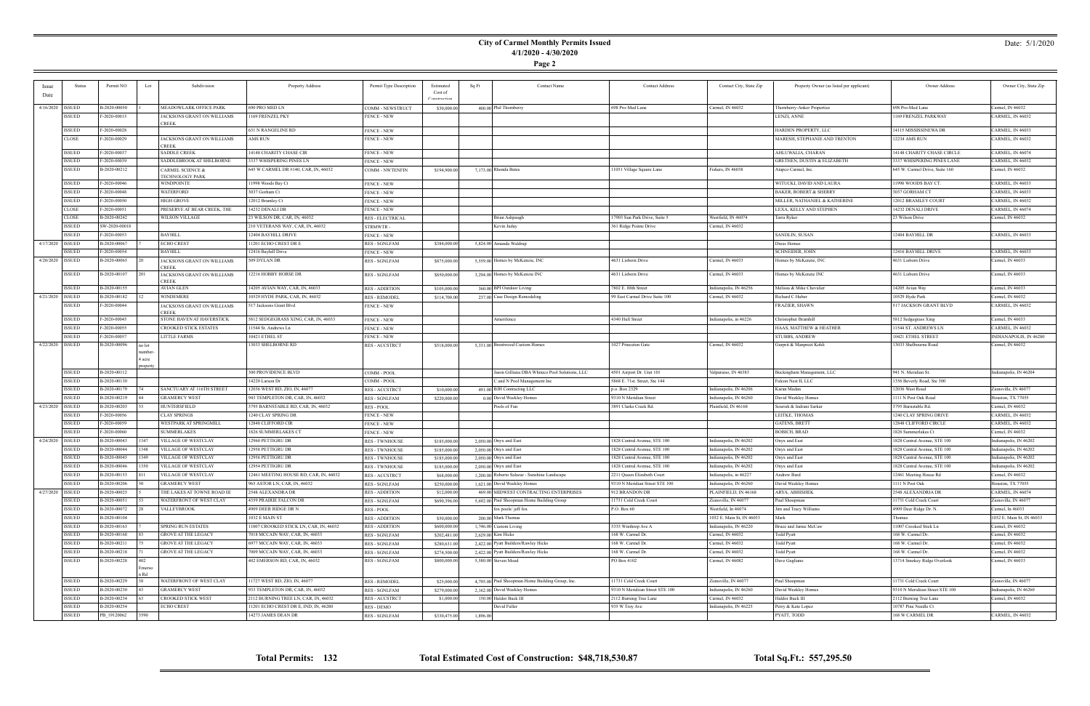### **City of Carmel Monthly Permits Issued 4/1/2020 - 4/30/2020**

**Page 2**

| <i>Issue</i>       | Status        | Permit NO<br>Lot            | Subdivision                         | Property Address                       | Permit Type Description | Estimated    | Sq Ft    | <b>Contact Name</b>                              | <b>Contact Address</b>          | Contact City, State Zip   | Property Owner (as listed per applicant) | Owner Address                   | Owner City, State Zip     |
|--------------------|---------------|-----------------------------|-------------------------------------|----------------------------------------|-------------------------|--------------|----------|--------------------------------------------------|---------------------------------|---------------------------|------------------------------------------|---------------------------------|---------------------------|
| Date               |               |                             |                                     |                                        |                         | Cost of      |          |                                                  |                                 |                           |                                          |                                 |                           |
|                    |               |                             |                                     |                                        |                         | Constructiv  |          |                                                  |                                 |                           |                                          |                                 |                           |
| 4/16/2020   ISSUED |               | B-2020-00050                | MEADOWLARK OFFICE PARK              | 690 PRO MED LN                         | COMM - NEWSTRUCT        | \$30,000.00  |          | 400.00 Phil Thornberry                           | 698 Pro-Med Lane                | Carmel, IN 46032          | Thornberry-Anker Properties              | 698 Pro-Med Lane                | Carmel, IN 46032          |
|                    | <b>ISSUED</b> | F-2020-00015                | JACKSONS GRANT ON WILLIAMS          | 1169 FRENZEL PKY                       | <b>FENCE - NEW</b>      |              |          |                                                  |                                 |                           | LENZI, ANNE                              | 1169 FRENZEL PARKWAY            | CARMEL, IN 46032          |
|                    |               |                             | <b>CREEK</b>                        |                                        |                         |              |          |                                                  |                                 |                           |                                          |                                 |                           |
|                    | ISSUED        | F-2020-00028                |                                     | 631 N RANGELINE RD                     | <b>FENCE - NEW</b>      |              |          |                                                  |                                 |                           | HARDEN PROPERTY, LLC                     | 14115 MISSISSINEWA DR           | CARMEL, IN 46033          |
|                    | <b>CLOSE</b>  | F-2020-00029                | <b>IACKSONS GRANT ON WILLIAMS</b>   | AMS RUN                                | <b>FENCE - NEW</b>      |              |          |                                                  |                                 |                           | MARESH, STEPHANIE AND TRENTON            | 12234 AMS RUN                   | CARMEL, IN 46032          |
|                    | <b>ISSUED</b> | F-2020-00037                | CREEK<br><b>SADDLE CREEK</b>        | 14148 CHARITY CHASE CIR                | <b>FENCE - NEW</b>      |              |          |                                                  |                                 |                           | AHLUWALIA, CHARAN                        | 14148 CHARITY CHASE CIRCLE      | CARMEL, IN 46074          |
|                    | ISSUED        | F-2020-00039                | SADDLEBROOK AT SHELBORNE            | 3337 WHISPERING PINES LN               | <b>FENCE - NEW</b>      |              |          |                                                  |                                 |                           | GRETHEN, DUSTIN & ELIZABETH              | 3337 WHISPERING PINES LANE      | CARMEL, IN 46032          |
|                    | <b>ISSUED</b> | B-2020-00212                | CARMEL SCIENCE &                    | 645 W CARMEL DR #140, CAR, IN, 46032   | <b>COMM - NWTENFIN</b>  | \$194,900.00 |          | 7,173.00 Rhonda Bates                            | 11051 Village Square Lane       | Fishers, IN 46038         | Atapco Carmel, Inc.                      | 645 W. Carmel Drive, Suite 160  | Carmel, IN 46032          |
|                    |               |                             | <b><i>TECHNOLOGY PARK</i></b>       |                                        |                         |              |          |                                                  |                                 |                           |                                          |                                 |                           |
|                    | ISSUED        | F-2020-00046                | WINDPOINTE                          | 11998 Woods Bay Ct                     | <b>FENCE - NEW</b>      |              |          |                                                  |                                 |                           | WITUCKI, DAVID AND LAURA                 | 11998 WOODS BAY CT.             | CARMEL, IN 46033          |
|                    | ISSUED        | F-2020-00048                | WATERFORD                           | 3037 Gorham Ct                         | <b>FENCE - NEW</b>      |              |          |                                                  |                                 |                           | <b>BAKER, ROBERT &amp; SHERRY</b>        | 3037 GORHAM CT                  | CARMEL, IN 46033          |
|                    | <b>ISSUED</b> | F-2020-00050                | HIGH GROVE                          | 12012 Bramley Ct                       | <b>FENCE - NEW</b>      |              |          |                                                  |                                 |                           | MILLER, NATHANIEL & KATHERINE            | 12012 BRAMLEY COURT             | CARMEL, IN 46032          |
|                    | <b>CLOSE</b>  | F-2020-00051                | PRESERVE AT BEAR CREEK, THE         | 14232 DENALI DR                        | <b>FENCE - NEW</b>      |              |          |                                                  |                                 |                           | LEXA, KELLY AND STEPHEN                  | 14232 DENALI DRIVE              | CARMEL, IN 46074          |
|                    | <b>CLOSE</b>  | B-2020-00242                | <b>WILSON VILLAGE</b>               | 23 WILSON DR, CAR, IN, 46032           | <b>RES - ELECTRICAL</b> |              |          | Brian Ashpaugh                                   | 17903 Sun Park Drive, Suite 5   | Westfield, IN 46074       | Tarra Ryker                              | 23 Wilson Drive                 | Carmel, IN 46032          |
|                    | ISSUED        | SW-2020-00018               |                                     | 210 VETERANS WAY, CAR, IN, 46032       | <b>STRMWTR</b>          |              |          | Kevin Juday                                      | 361 Ridge Pointe Drive          | Carmel, IN 46032          |                                          |                                 |                           |
|                    | <b>ISSUED</b> | F-2020-00053                | <b>BAYHILL</b>                      | 12404 BAYHILL DRIVE                    | <b>FENCE - NEW</b>      |              |          |                                                  |                                 |                           | SANDLIN, SUSAN                           | 12404 BAYHILL DR                | CARMEL, IN 46033          |
| 4/17/2020   ISSUED |               | B-2020-00067                | <b>ECHO CREST</b>                   | 11201 ECHO CREST DR E                  | <b>RES - SGNLFAM</b>    | \$384,000.00 |          | 5,824.00 Amanda Waldrup                          |                                 |                           | Drees Homes                              |                                 |                           |
|                    | ISSUED        | F-2020-00054                | <b>BAYHILL</b>                      | 12416 Bayhill Drive                    | <b>FENCE - NEW</b>      |              |          |                                                  |                                 |                           | SCHNEIDER, JOHN                          | 12416 BAYHILL DRIVE             | CARMEL, IN 46033          |
| 4/20/2020 ISSUED   |               | B-2020-00065                | JACKSONS GRANT ON WILLIAMS          | 509 DYLAN DR                           | <b>RES - SGNLFAM</b>    | \$875,000.00 |          | 5,559.00 Homes by McKenzie, INC                  | 4631 Lisborn Drive              | Carmel, IN 46033          | Homes by McKenzie, INC                   | 4631 Lisborn Drive              | Carmel, IN 46033          |
|                    |               |                             | CREEK                               |                                        |                         |              |          |                                                  |                                 |                           |                                          |                                 |                           |
|                    | ISSUED        | B-2020-00107                | JACKSONS GRANT ON WILLIAMS          | 12216 HOBBY HORSE DR                   | <b>RES - SGNLFAM</b>    | \$850,000.00 |          | 3,294.00 Homes by McKenzie INC                   | 4631 Lisborn Drive              | Carmel, IN 46033          | Homes by McKenzie INC                    | 4631 Lisborn Drive              | Carmel, IN 46033          |
|                    |               |                             | CREEK                               |                                        |                         |              |          |                                                  |                                 |                           |                                          |                                 |                           |
|                    | ISSUED        | B-2020-00155                | AVIAN GLEN                          | 14205 AVIAN WAY, CAR, IN, 46033        | <b>RES - ADDITION</b>   | \$105,000.00 |          | 360.00 BPI Outdoor Living                        | 7802 E. 88th Street             | Indianapolis, IN 46256    | Melissa & Mike Chevalier                 | 14205 Avian Way                 | Carmel, IN 46033          |
| 4/21/2020   ISSUED |               | B-2020-00182                | <b>WINDEMERE</b>                    | 10529 HYDE PARK, CAR, IN, 46032        | <b>RES - REMODEL</b>    | \$114,700.00 |          | 237.00 Case Design Remodeling                    | 99 East Carmel Drive Suite 100  | Carmel, IN 46032          | Richard C Huber                          | 10529 Hyde Park                 | Carmel, IN 46032          |
|                    | ISSUED        | F-2020-00044                | JACKSONS GRANT ON WILLIAMS<br>CREEK | 517 Jacksons Grant Blvd                | <b>FENCE - NEW</b>      |              |          |                                                  |                                 |                           | FRAZIER, SHAWN                           | 517 JACKSON GRANT BLVD          | CARMEL, IN 46032          |
|                    | <b>ISSUED</b> | F-2020-00045                | STONE HAVEN AT HAVERSTICK           | 5812 SEDGEGRASS XING, CAR, IN, 46033   | <b>FENCE - NEW</b>      |              |          | Amerifence                                       | 4340 Hull Street                | Indianapolis, in 46226    | Christopher Bramhill                     | 5812 Sedgegrass Xing            | Carmel, IN 46033          |
|                    | ISSUED        | F-2020-00055                | CROOKED STICK ESTATES               | 1544 St. Andrews Ln                    | <b>FENCE - NEW</b>      |              |          |                                                  |                                 |                           | HAAS, MATTHEW & HEATHER                  | 11544 ST. ANDREWS LN            | CARMEL, IN 46032          |
|                    | ISSUED        | F-2020-00057                | <b>LITTLE FARMS</b>                 | 10421 ETHEL ST                         | <b>FENCE - NEW</b>      |              |          |                                                  |                                 |                           | <b>STUBBS, ANDREW</b>                    | 10421 ETHEL STREET              | INDIANAPOLIS, IN 46280    |
| 4/22/2020   ISSUED |               | B-2020-00096<br>no lot      |                                     | 13033 SHELBORNE RD                     | <b>RES - ACCSTRCT</b>   | \$518,000.00 |          | 5,331.00 Brentwood Custom Homes                  | 1027 Princeton Gate             | Carmel, IN 46032          | Gurprit & Manpreet Kohli                 | 13033 Shelbourne Road           | Carmel, IN 46032          |
|                    |               | umbeı                       |                                     |                                        |                         |              |          |                                                  |                                 |                           |                                          |                                 |                           |
|                    |               | 4 acre                      |                                     |                                        |                         |              |          |                                                  |                                 |                           |                                          |                                 |                           |
|                    |               | onerty                      |                                     |                                        |                         |              |          |                                                  |                                 |                           |                                          |                                 |                           |
|                    | ISSUED        | B-2020-00112                |                                     | 300 PROVIDENCE BLVD                    | COMM - POOL             |              |          | Jason Gilliana DBA Whiteco Pool Solutions, LLC   | 4501 Airport Dr. Unit 101       | Valparaiso, IN 46383      | Buckingham Management, LLC               | 941 N. Meridian St.             | Indianapolis, IN 46204    |
|                    | <b>ISSUED</b> | B-2020-00130                |                                     | 14220 Larson Dr                        | COMM - POOL             |              |          | C and N Pool Management Inc                      | 5868 E. 71st. Street, Ste 144   |                           | Falcon Nest II, LLC                      | 1356 Beverly Road, Ste 300      |                           |
|                    | <b>ISSUED</b> | B-2020-00179                | SANCTUARY AT 116TH STREET           | 12036 WEST RD, ZIO, IN, 46077          | <b>RES - ACCSTRCT</b>   | \$10,000.00  |          | 491.00 BJH Contracting LLC                       | р.о. Вох 2329                   | Indianapolis, IN 46206    | Karan Madan                              | 12036 West Road                 | Zionsville, IN 46077      |
|                    | ISSUED        | B-2020-00219                | GRAMERCY WEST                       | 943 TEMPLETON DR, CAR, IN, 46032       | <b>RES - SGNLFAM</b>    | \$220,000.00 |          | 0.00 David Weekley Homes                         | 9310 N Meridian Street          | Indianapolis, IN 46260    | David Weekley Homes                      | 1111 N Post Oak Road            | Houston, TX 77055         |
| 4/23/2020   ISSUED |               | B-2020-00203                | HUNTERSFIELD                        | 3795 BARNSTABLE RD, CAR, IN, 46032     | RES - POOL              |              |          | Pools of Fun                                     | 3891 Clarks Creek Rd.           | Plainfield, IN 46168      | Sourish & Indrani Sarkaı                 | 3795 Barnstable Rd.             | Carmel, IN 46032          |
|                    | ISSUED        | F-2020-00056                | CLAY SPRINGS                        | 1240 CLAY SPRING DR                    | <b>FENCE - NEW</b>      |              |          |                                                  |                                 |                           | LEITKE, THOMAS                           | 1240 CLAY SPRING DRIVE          | CARMEL, IN 46032          |
|                    | <b>ISSUED</b> | F-2020-00059                | WESTPARK AT SPRINGMILL              | 12848 CLIFFORD CIR                     | <b>FENCE - NEW</b>      |              |          |                                                  |                                 |                           | <b>GATENS, BRETT</b>                     | 12848 CLIFFORD CIRCLE           | CARMEL, IN 46032          |
|                    | ISSUED        | F-2020-00060                | SUMMERLAKES                         | 1826 SUMMERLAKES CT                    | <b>FENCE - NEW</b>      |              |          |                                                  |                                 |                           | <b>BOBICH, BRAD</b>                      | 1826 Summerlakes Ct             | Carmel, IN 46032          |
| 4/24/2020 ISSUED   |               | B-2020-00043<br>1347        | VILLAGE OF WESTCLAY                 | 12960 PETTIGRU DR                      | <b>RES - TWNHOUSE</b>   | \$185,000.00 |          | $2,050.00$ Onyx and East                         | 1828 Central Avenue, STE 100    | Indianapolis, IN 46202    | Onyx and East                            | 1828 Central Avenue, STE 100    | Indianapolis, IN 46202    |
|                    | ISSUED        | B-2020-00044<br>1348        | <b>VILLAGE OF WESTCLAY</b>          | 12958 PETTIGRU DR                      | <b>RES - TWNHOUSE</b>   | \$185,000.0  |          | $2,050.00$ Onyx and East                         | 1828 Central Avenue, STE 100    | ndianapolis, IN 46202     | Onyx and East                            | 1828 Central Avenue, STE 100    | Indianapolis, IN 46202    |
|                    | ISSUED        | B-2020-00045<br>1349        | VILLAGE OF WESTCLAY                 | 12956 PETTIGRU DR                      | <b>RES - TWNHOUSE</b>   | \$185,000.00 |          | $2,050.00$ Onyx and East                         | 1828 Central Avenue, STE 100    | Indianapolis, IN 46202    | Onyx and East                            | 1828 Central Avenue, STE 100    | Indianapolis, IN 46202    |
|                    | <b>ISSUED</b> | B-2020-00046<br>1350        | VILLAGE OF WESTCLAY                 | 12954 PETTIGRU DR                      | <b>RES - TWNHOUSE</b>   | \$185,000.00 |          | $2,050.00$ Onyx and East                         | 1828 Central Avenue, STE 100    | Indianapolis, IN 46202    | Onyx and East                            | 1828 Central Avenue, STE 100    | Indianapolis, IN 46202    |
|                    | ISSUED        | B-2020-00153<br><b>1811</b> | VILLAGE OF WESTCLAY                 | 2461 MEETING HOUSE RD, CAR, IN, 46032  | RES - ACCSTRCT          | \$68,000.00  |          | 1,200.00 Roberto Salazar - Sunshine Landscape    | 211 Queen Elizabeth Court       | Indianapolis, in 46227    | Andrew Bard                              | 12461 Meeting House Rd          | Carmel, IN 46032          |
|                    | ISSUED        | B-2020-00206                | <b>GRAMERCY WEST</b>                | 965 ASTOR LN, CAR, IN, 46032           | RES - SGNLFAM           | \$250,000.00 |          | 1,621.00 David Weekley Homes                     | 9310 N Meridian Street STE 100  | Indianapolis, IN 46260    | David Weekley Homes                      | 1111 N Post Oak                 | Houston, TX 77055         |
| 4/27/2020 ISSUED   |               | B-2020-00025                | THE LAKES AT TOWNE ROAD III         | 2548 ALEXANDRA DR                      | <b>RES - ADDITION</b>   | \$12,000.00  |          | 469.00 MIDWEST CONTRACTING ENTERPRISES           | 912 BRANDON DR                  | PLAINFIELD, IN 46168      | ARYA, ABHISHEK                           | 2548 ALEXANDRIA DR              | CARMEL, IN 46074          |
|                    | ISSUED        | B-2020-00051                | WATERFRONT OF WEST CLAY             | 4359 PRAIRIE FALCON DR                 | <b>RES - SGNLFAM</b>    | \$690,396.00 |          | 5,692.00 Paul Shoopman Home Building Group       | 11731 Cold Creek Court          | Zionsville, IN 46077      | Paul Shoopman                            | 11731 Cold Creek Court          | Zionsville, IN 46077      |
|                    | ISSUED        | B-2020-00072                | VALLEYBROOK                         | 4909 DEER RIDGE DR N                   | RES - POOL              |              |          | fox pools/jeff fox                               | P.O. Box 60                     | Westfield, In 46074       | Jim and Tracy Williams                   | 4909 Deer Ridge Dr. N.          | Carmel, In 46033          |
|                    | ISSUED        | B-2020-00104                |                                     | 1032 E MAIN ST                         | <b>RES - ADDITION</b>   | \$50,000.00  |          | 200.00 Mark Thomas                               |                                 | 1032 E. Main St, IN 46033 | Mark                                     | Thomas                          | 1032 E. Main St, IN 46033 |
|                    | <b>ISSUED</b> | B-2020-00163                | SPRING RUN ESTATES                  | 11007 CROOKED STICK LN, CAR, IN, 46032 | <b>RES - ADDITION</b>   | \$600,000.00 |          | 1,746.00 Custom Living                           | 5335 Winthrop Ave A             | Indianapolis, IN 46220    | Bruce and Jamie McCaw                    | 11007 Crooked Stick Ln          | Carmel, IN 46032          |
|                    | <b>ISSUED</b> | B-2020-00168                | GROVE AT THE LEGACY                 | 7018 MCCAIN WAY, CAR, IN, 46033        | <b>RES - SGNLFAM</b>    | \$202,481.0  |          | 2,629.00 Kim Hicks                               | 168 W. Carmel Dr.               | Carmel, IN 46032          | Fodd Pyatt                               | 168 W. Carmel Dr.               | Carmel, IN 46032          |
|                    | ISSUED        | B-2020-00211                | GROVE AT THE LEGACY                 | 6977 MCCAIN WAY, CAR, IN, 46033        | <b>RES - SGNLFAM</b>    | \$280,631.00 |          | 2,422.00 Pyatt Builders/Rawley Hicks             | 168 W. Carmel Dr.               | Carmel, IN 46032          | Todd Pyatt                               | 168 W. Carmel Dr.               | Carmel, IN 46032          |
|                    | ISSUED        | B-2020-00218                | GROVE AT THE LEGACY                 | 7009 MCCAIN WAY, CAR, IN, 46033        | <b>RES - SGNLFAM</b>    | \$274,500.00 |          | 2,422.00 Pyatt Builders/Rawley Hicks             | 168 W. Carmel Dr.               | Carmel, IN 46032          | Todd Pyatt                               | 168 W. Carmel Dr.               | Carmel, IN 46032          |
|                    | <b>ISSUED</b> | B-2020-00228<br>402         |                                     | 402 EMERSON RD, CAR, IN, 46032         | RES - SGNLFAM           | \$800,000.00 |          | 5,580.00 Steven Moed                             | PO Box 4102                     | Carmel, IN 46082          | Dave Gagliano                            | 13714 Smokey Ridge Overlook     | Carmel, IN 46033          |
|                    |               | :merso                      |                                     |                                        |                         |              |          |                                                  |                                 |                           |                                          |                                 |                           |
|                    |               | n Rd                        |                                     |                                        |                         |              |          |                                                  |                                 |                           |                                          |                                 |                           |
|                    | ISSUED        | B-2020-00229                | <b>WATERFRONT OF WEST CLAY</b>      | 11727 WEST RD, ZIO, IN, 46077          | <b>RES - REMODEL</b>    | \$25,000.00  |          | 4,795.00 Paul Shoopman Home Building Group, Inc. | 11731 Cold Creek Court          | Zionsville, IN 46077      | Paul Shoopman                            | 11731 Cold Creek Court          | Zionsville, IN 46077      |
|                    | ISSUED        | B-2020-00230                | <b>GRAMERCY WEST</b>                | 933 TEMPLETON DR, CAR, IN, 46032       | <b>RES - SGNLFAM</b>    | \$279,000.00 |          | 2,162.00 David Weekley Homes                     | 9310 N Meridiian Street STE 100 | Indianapolis, IN 46260    | David Weekley Homes                      | 9310 N Meridiian Street STE 100 | Indianapolis, IN 46260    |
|                    | ISSUED        | B-2020-00234                | CROOKED STICK WEST                  | 2112 BURNING TREE LN, CAR, IN, 46032   | RES - ACCSTRCT          | \$1,000.00   |          | 150.00 Haldor Buck III                           | 2112 Burning Tree Lane          | Carmel, IN 46032          | Haldor Buck III                          | 2112 Burning Tree Lane          | Carmel, IN 46032          |
|                    | <b>ISSUED</b> | B-2020-00254                | ECHO CREST                          | 11201 ECHO CREST DR E, IND, IN, 46280  | RES - DEMO              |              |          | David Fuller                                     | 935 W Troy Ave                  | Indianapolis, IN 46225    | Perry & Kate Lopez                       | 10787 Pine Needle Ct            |                           |
|                    | ISSUED        | PB_19120062<br>3590         |                                     | 14273 JAMES DEAN DR                    | RES - SGNLFAM           | \$330,475.0  | 1,896.00 |                                                  |                                 |                           | PYATT, TODD                              | 168 W CARMEL DR                 | CARMEL, IN 46032          |

÷

**Total Permits: 132 Total Estimated Cost of Construction: \$48,718,530.87 Total Sq.Ft.: 557,295.50**